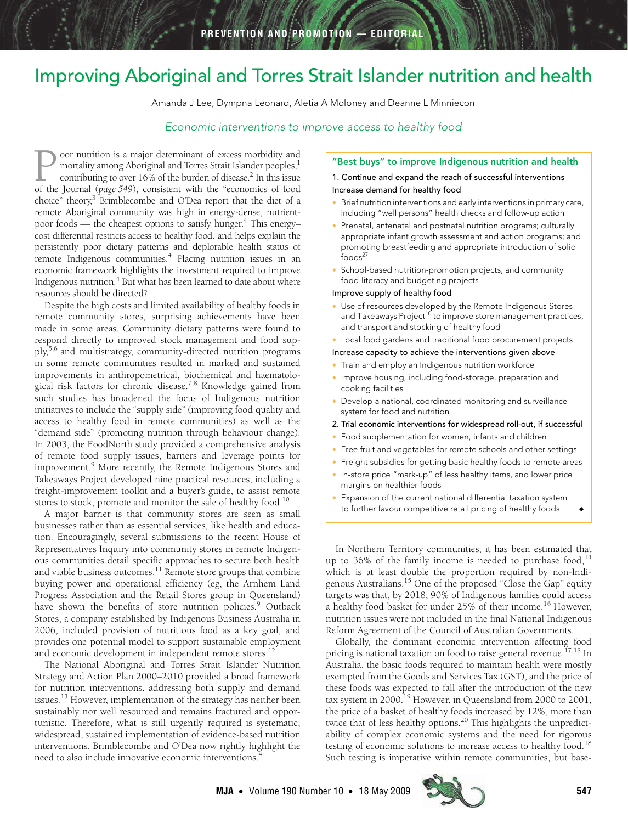# <span id="page-0-0"></span>Improving Aboriginal and Torres Strait Islander nutrition and health

Amanda J Lee, Dympna Leonard, Aletia A Moloney and Deanne L Minniecon

## Economic interventions to improve access to healthy food

cost differential restricts access to healthy food, and helps explain the  $T_{29}$  poor dietary patients and remote Indigenous communities.<sup>4</sup> Placing nutrition issues in an economic framework highlights the investment required to improve Indigenous nutrition.<sup>4</sup> But what has been learned to date about where oor nutrition is a major determinant of excess morbidity and mortality among Aboriginal and Torres Strait Islander peoples,<sup>[1](#page-1-0)</sup> contributing to over 16% of the burden of disease.<sup>2</sup> In this issue Oor nutrition is a major determinant of excess morbidity and mortality among Aboriginal and Torres Strait Islander peoples,<sup>1</sup> contributing to over 16% of the burden of disease.<sup>2</sup> In this issue of the Journal (*page 549*) choice" theory,<sup>3</sup> Brimblecombe and O'Dea report that the diet of a remote Aboriginal community was high in energy-dense, nutrientpoor foods — the cheapest options to satisfy hunger.<sup>4</sup> This energypersistently poor dietary patter[ns a](#page-0-0)[nd d](#page-1-13)eplorable health status of resources should be directed?

Despite the high costs and limited availability of healthy foods in remote community stores, surprising achievements have been made in some areas. Community dietary patterns were found to respond directly to improved stock management and food supply[,5](#page-1-4)[,6](#page-1-5) and multistrategy, community-directed nutrition programs in some remote communities resulted in marked and sustained improvements in anthropometrical, biochemical and haematological risk factors for chronic disease[.7,](#page-1-6)[8](#page-1-7) Knowledge gained from such studies has broadened the focus of Indigenous nutrition initiatives to include the "supply side" (improving food quality and access to healthy food in remote communities) as well as the "demand side" (promoting nutrition through behaviour change). In 2003, the FoodNorth study provided a comprehensive analysis of remote food supply issues, barriers and leverage points for improvement.<sup>9</sup> More recently, the Remote Indigenous Stores and Takeaways Project developed nine practical resources, including a freight-improvement toolkit and a buyer's guide, to assist remote stores to stock, promote and monitor the sale of healthy food.<sup>[10](#page-1-9)</sup>

A major barrier is that community stores are seen as small businesses rather than as essential services, like health and education. Encouragingly, several submissions to the recent House of Representatives Inquiry into community stores in remote Indigenous communities detail specific approaches to secure both health and viable business outcomes. $^{11}$  Remote store groups that combine buying power and operational efficiency (eg, the Arnhem Land Progress Association and the Retail Stores group in Queensland) have shown the benefits of store nutrition policies.<sup>[9](#page-1-8)</sup> Outback Stores, a company established by Indigenous Business Australia in 2006, included provision of nutritious food as a key goal, and provides one potential model to support sustainable employment and economic development in independent remote stores.<sup>[12](#page-1-11)</sup>

The National Aboriginal and Torres Strait Islander Nutrition Strategy and Action Plan 2000–2010 provided a broad framework for nutrition interventions, addressing both supply and demand issues.<sup>[13](#page-1-12)</sup> However, implementation of the strategy has neither been sustainably nor well resourced and remains fractured and opportunistic. Therefore, what is still urgently required is systematic, widespread, sustained implementation of evidence-based nutrition interventions. Brimblecombe and O'Dea now rightly highlight the need to also include innovative economic interventions[.4](#page-1-3)

## "Best buys" to improve Indigenous nutrition and health

## 1. Continue and expand the reach of successful interventions Increase demand for healthy food

- Brief nutrition interventions and early interventions in primary care, including "well persons" health checks and follow-up action
- Prenatal, antenatal and postnatal nutrition programs; culturally appropriate infant growth assessment and action programs; and promoting breastfeeding and appropriate introduction of solid foods<sup>27</sup>
- School-based nutrition-promotion projects, and community food-literacy and budgeting projects

#### Improve supply of healthy food

- Use of resources developed by the Remote Indigenous Stores and Takeaways Project<sup>10</sup> to improve store management practices, and transport and stocking of healthy food
- Local food gardens and traditional food procurement projects

#### Increase capacity to achieve the interventions given above

- Train and employ an Indigenous nutrition workforce
- Improve housing, including food-storage, preparation and cooking facilities
- Develop a national, coordinated monitoring and surveillance system for food and nutrition
- 2. Trial economic interventions for widespread roll-out, if successful
- Food supplementation for women, infants and children
- Free fruit and vegetables for remote schools and other settings
- Freight subsidies for getting basic healthy foods to remote areas
- In-store price "mark-up" of less healthy items, and lower price margins on healthier foods
- Expansion of the current national differential taxation system to further favour competitive retail pricing of healthy foods

In Northern Territory communities, it has been estimated that up to 36% of the family income is needed to purchase food,  $14$ which is at least double the proportion required by non-Indigenous Australians[.15](#page-1-15) One of the proposed "Close the Gap" equity targets was that, by 2018, 90% of Indigenous families could access a healthy food basket for under 25% of their income.<sup>16</sup> However, nutrition issues were not included in the final National Indigenous Reform Agreement of the Council of Australian Governments.

Globally, the dominant economic intervention affecting food pricing is national taxation on food to raise general revenue.<sup>[17,](#page-1-17)18</sup> In Australia, the basic foods required to maintain health were mostly exempted from the Goods and Services Tax (GST), and the price of these foods was expected to fall after the introduction of the new tax system in 2000.<sup>19</sup> However, in Queensland from 2000 to 2001, the price of a basket of healthy foods increased by 12%, more than twice that of less healthy options.<sup>20</sup> This highlights the unpredictability of complex economic systems and the need for rigorous testing of economic solutions to increase access to healthy food.<sup>[18](#page-1-18)</sup> Such testing is imperative within remote communities, but base-